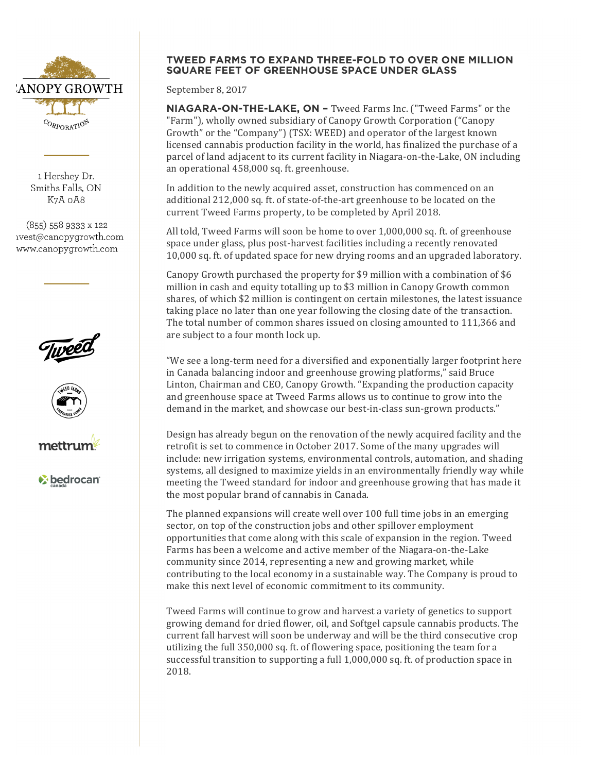

1 Hershey Dr. Smiths Falls, ON K7A oA8

(855) 558 9333 x 122 ivest@canopygrowth.com www.canopygrowth.com







*v* bedrocan

## **TWEED FARMS TO EXPAND THREE-FOLD TO OVER ONE MILLION SQUARE FEET OF GREENHOUSE SPACE UNDER GLASS**

September 8, 2017

**NIAGARA-ON-THE-LAKE, ON –** Tweed Farms Inc. ("Tweed Farms" or the "Farm"), wholly owned subsidiary of Canopy Growth Corporation ("Canopy" Growth" or the "Company") (TSX: WEED) and operator of the largest known licensed cannabis production facility in the world, has finalized the purchase of a parcel of land adjacent to its current facility in Niagara-on-the-Lake, ON including an operational 458,000 sq. ft. greenhouse.

In addition to the newly acquired asset, construction has commenced on an additional 212,000 sq. ft. of state-of-the-art greenhouse to be located on the current Tweed Farms property, to be completed by April 2018.

All told, Tweed Farms will soon be home to over  $1,000,000$  sq. ft. of greenhouse space under glass, plus post-harvest facilities including a recently renovated 10,000 sq. ft. of updated space for new drying rooms and an upgraded laboratory.

Canopy Growth purchased the property for \$9 million with a combination of \$6 million in cash and equity totalling up to \$3 million in Canopy Growth common shares, of which \$2 million is contingent on certain milestones, the latest issuance taking place no later than one year following the closing date of the transaction. The total number of common shares issued on closing amounted to 111,366 and are subject to a four month lock up.

"We see a long-term need for a diversified and exponentially larger footprint here in Canada balancing indoor and greenhouse growing platforms," said Bruce Linton, Chairman and CEO, Canopy Growth. "Expanding the production capacity and greenhouse space at Tweed Farms allows us to continue to grow into the demand in the market, and showcase our best-in-class sun-grown products."

Design has already begun on the renovation of the newly acquired facility and the retrofit is set to commence in October 2017. Some of the many upgrades will include: new irrigation systems, environmental controls, automation, and shading systems, all designed to maximize yields in an environmentally friendly way while meeting the Tweed standard for indoor and greenhouse growing that has made it the most popular brand of cannabis in Canada.

The planned expansions will create well over 100 full time jobs in an emerging sector, on top of the construction jobs and other spillover employment opportunities that come along with this scale of expansion in the region. Tweed Farms has been a welcome and active member of the Niagara-on-the-Lake community since 2014, representing a new and growing market, while contributing to the local economy in a sustainable way. The Company is proud to make this next level of economic commitment to its community.

Tweed Farms will continue to grow and harvest a variety of genetics to support growing demand for dried flower, oil, and Softgel capsule cannabis products. The current fall harvest will soon be underway and will be the third consecutive crop utilizing the full 350,000 sq. ft. of flowering space, positioning the team for a successful transition to supporting a full  $1,000,000$  sq. ft. of production space in 2018.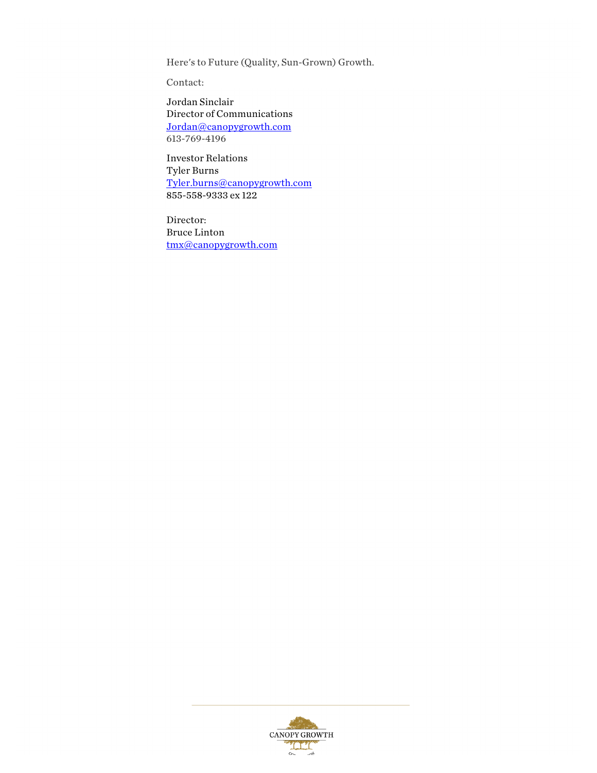Here's to Future (Quality, Sun-Grown) Growth.

Contact:

Jordan Sinclair Director of Communications Jordan@canopygrowth.com 613-769-4196

Investor Relations Tyler Burns Tyler.burns@canopygrowth.com 855-558-9333 ex 122

Director: Bruce Linton tmx@canopygrowth.com